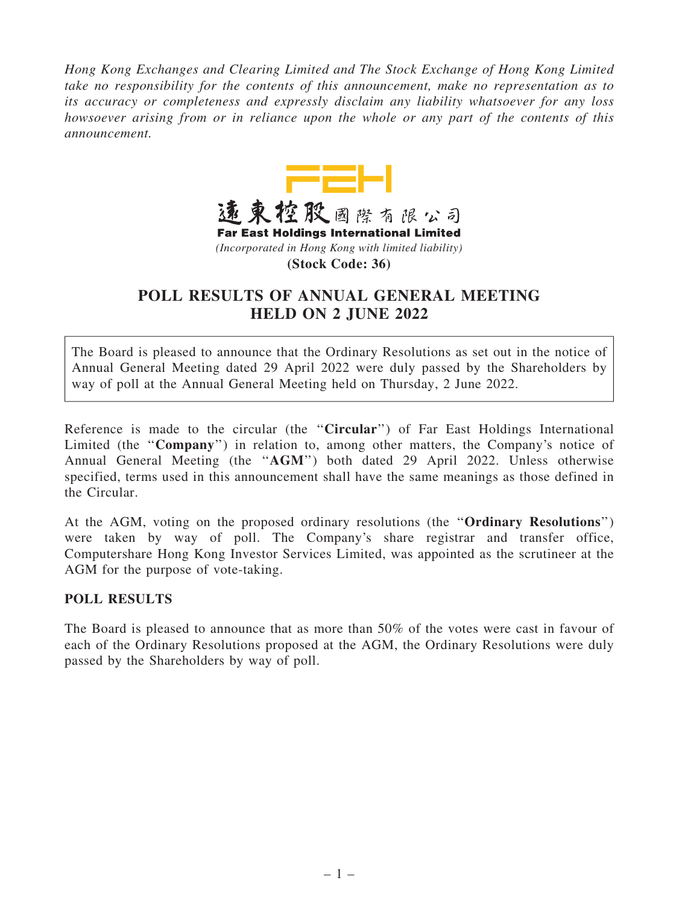*Hong Kong Exchanges and Clearing Limited and The Stock Exchange of Hong Kong Limited take no responsibility for the contents of this announcement, make no representation as to its accuracy or completeness and expressly disclaim any liability whatsoever for any loss howsoever arising from or in reliance upon the whole or any part of the contents of this announcement.*



## POLL RESULTS OF ANNUAL GENERAL MEETING HELD ON 2 JUNE 2022

The Board is pleased to announce that the Ordinary Resolutions as set out in the notice of Annual General Meeting dated 29 April 2022 were duly passed by the Shareholders by way of poll at the Annual General Meeting held on Thursday, 2 June 2022.

Reference is made to the circular (the "Circular") of Far East Holdings International Limited (the "Company") in relation to, among other matters, the Company's notice of Annual General Meeting (the ''AGM'') both dated 29 April 2022. Unless otherwise specified, terms used in this announcement shall have the same meanings as those defined in the Circular.

At the AGM, voting on the proposed ordinary resolutions (the ''Ordinary Resolutions'') were taken by way of poll. The Company's share registrar and transfer office, Computershare Hong Kong Investor Services Limited, was appointed as the scrutineer at the AGM for the purpose of vote-taking.

## POLL RESULTS

The Board is pleased to announce that as more than 50% of the votes were cast in favour of each of the Ordinary Resolutions proposed at the AGM, the Ordinary Resolutions were duly passed by the Shareholders by way of poll.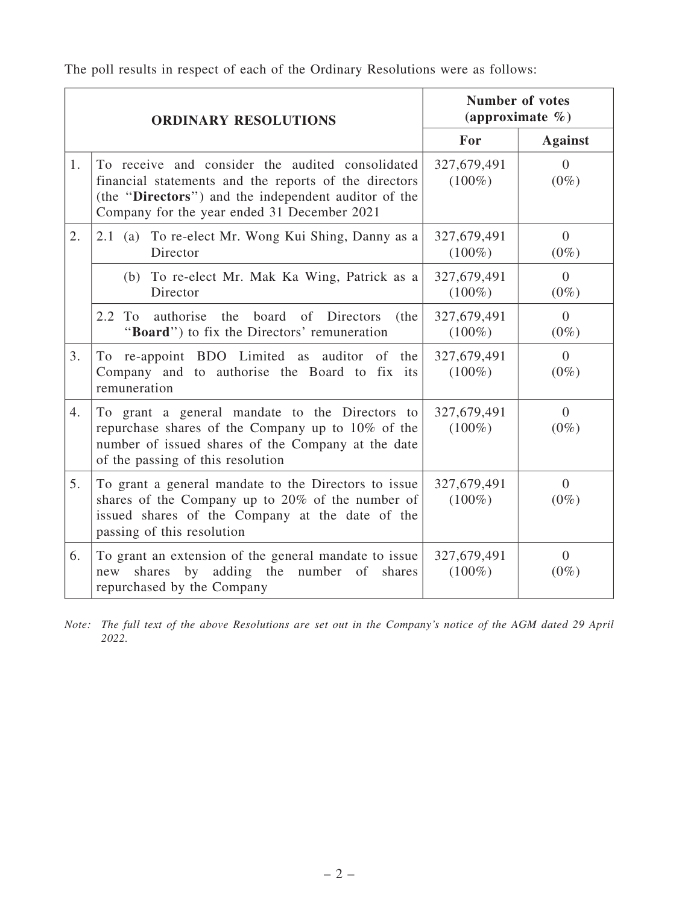The poll results in respect of each of the Ordinary Resolutions were as follows:

| <b>ORDINARY RESOLUTIONS</b> |                                                                                                                                                                                                                  | <b>Number of votes</b><br>(approximate $\%$ ) |                           |
|-----------------------------|------------------------------------------------------------------------------------------------------------------------------------------------------------------------------------------------------------------|-----------------------------------------------|---------------------------|
|                             |                                                                                                                                                                                                                  | For                                           | <b>Against</b>            |
| 1.                          | To receive and consider the audited consolidated<br>financial statements and the reports of the directors<br>(the "Directors") and the independent auditor of the<br>Company for the year ended 31 December 2021 | 327,679,491<br>$(100\%)$                      | $\Omega$<br>$(0\%)$       |
| 2.                          | 2.1 (a) To re-elect Mr. Wong Kui Shing, Danny as a<br>Director                                                                                                                                                   | 327,679,491<br>$(100\%)$                      | $\Omega$<br>$(0\%)$       |
|                             | (b) To re-elect Mr. Mak Ka Wing, Patrick as a<br>Director                                                                                                                                                        | 327,679,491<br>$(100\%)$                      | $\Omega$<br>$(0\%)$       |
|                             | $2.2^{\circ}$<br>To<br>authorise the board of Directors<br>(the<br>"Board") to fix the Directors' remuneration                                                                                                   | 327,679,491<br>$(100\%)$                      | $\theta$<br>$(0\%)$       |
| 3.                          | To re-appoint BDO Limited as auditor of the<br>Company and to authorise the Board to fix its<br>remuneration                                                                                                     | 327,679,491<br>$(100\%)$                      | $\Omega$<br>$(0\%)$       |
| 4.                          | To grant a general mandate to the Directors to<br>repurchase shares of the Company up to 10% of the<br>number of issued shares of the Company at the date<br>of the passing of this resolution                   | 327,679,491<br>$(100\%)$                      | $\Omega$<br>$(0\%)$       |
| 5.                          | To grant a general mandate to the Directors to issue<br>shares of the Company up to 20% of the number of<br>issued shares of the Company at the date of the<br>passing of this resolution                        | 327,679,491<br>$(100\%)$                      | $\overline{0}$<br>$(0\%)$ |
| 6.                          | To grant an extension of the general mandate to issue<br>shares by adding the number of<br>shares<br>new<br>repurchased by the Company                                                                           | 327,679,491<br>$(100\%)$                      | $\overline{0}$<br>$(0\%)$ |

*Note: The full text of the above Resolutions are set out in the Company*'*s notice of the AGM dated 29 April 2022.*